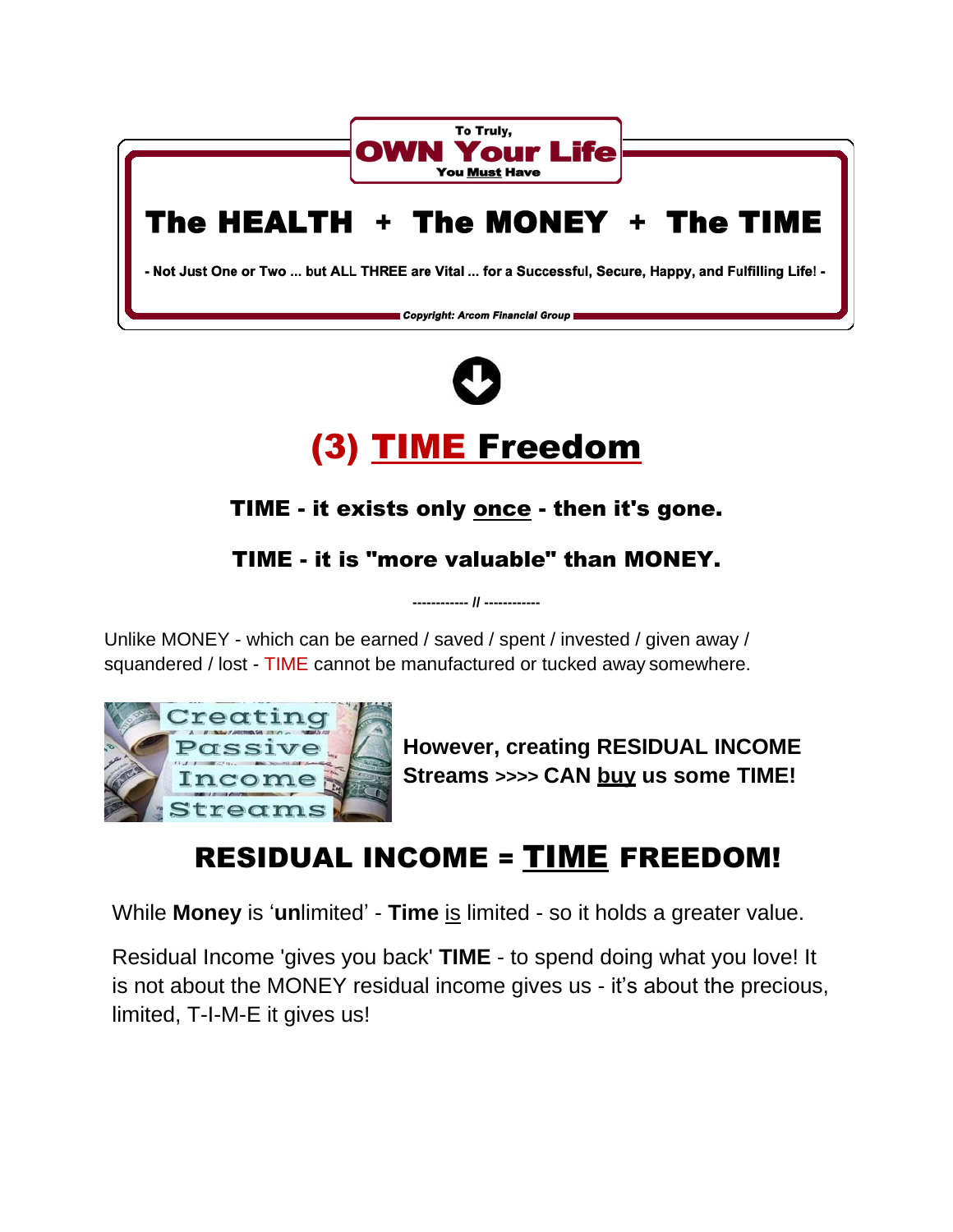



## TIME - it exists only once - then it's gone.

### TIME - it is "more valuable" than MONEY.

**------------ // ------------**

Unlike MONEY - which can be earned / saved / spent / invested / given away / squandered / lost - TIME cannot be manufactured or tucked away somewhere.



**However, creating RESIDUAL INCOME Streams >>>> CAN buy us some TIME!**

# RESIDUAL INCOME = TIME FREEDOM!

While **Money** is '**un**limited' - **Time** is limited - so it holds a greater value.

Residual Income 'gives you back' **TIME** - to spend doing what you love! It is not about the MONEY residual income gives us - it's about the precious, limited, T-I-M-E it gives us!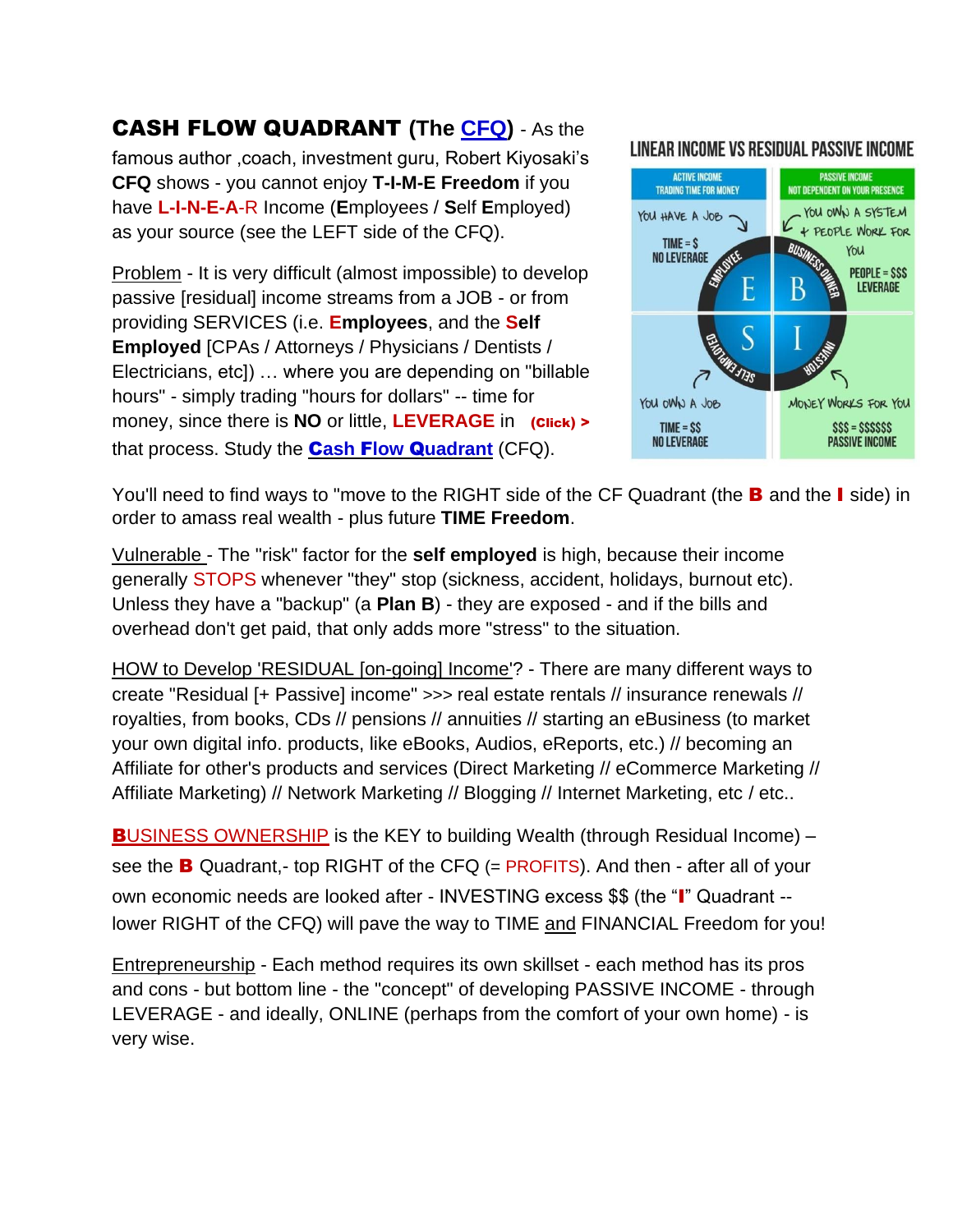#### CASH FLOW QUADRANT **(The [CFQ\)](https://www.keepandshare.com/doc20/22909/c-f-q-converted-pdf-248k?da=y)** - As the

famous author ,coach, investment guru, Robert Kiyosaki's **CFQ** shows - you cannot enjoy **T-I-M-E Freedom** if you have **L-I-N-E-A**-R Income (**E**mployees / **S**elf **E**mployed) as your source (see the LEFT side of the CFQ).

Problem - It is very difficult (almost impossible) to develop passive [residual] income streams from a JOB - or from providing SERVICES (i.e. **Employees**, and the **Self Employed** [CPAs / Attorneys / Physicians / Dentists / Electricians, etc]) … where you are depending on "billable hours" - simply trading "hours for dollars" -- time for money, since there is **NO** or little, **LEVERAGE** in (Click) > that process. Study the C**[ash](https://www.keepandshare.com/doc20/24450/c-f-q-converted-1-pdf-235k?da=y)** F**low** Q**[uadrant](https://www.keepandshare.com/doc20/24450/c-f-q-converted-1-pdf-235k?da=y)** (CFQ).

#### LINEAR INCOME VS RESIDUAL PASSIVE INCOME



You'll need to find ways to "move to the RIGHT side of the CF Quadrant (the **B** and the **I** side) in order to amass real wealth - plus future **TIME Freedom**.

Vulnerable - The "risk" factor for the **self employed** is high, because their income generally STOPS whenever "they" stop (sickness, accident, holidays, burnout etc). Unless they have a "backup" (a **Plan B**) - they are exposed - and if the bills and overhead don't get paid, that only adds more "stress" to the situation.

HOW to Develop 'RESIDUAL [on-going] Income'? - There are many different ways to create "Residual [+ Passive] income" >>> real estate rentals // insurance renewals // royalties, from books, CDs // pensions // annuities // starting an eBusiness (to market your own digital info. products, like eBooks, Audios, eReports, etc.) // becoming an Affiliate for other's products and services (Direct Marketing // eCommerce Marketing // Affiliate Marketing) // Network Marketing // Blogging // Internet Marketing, etc / etc..

**BUSINESS OWNERSHIP** is the KEY to building Wealth (through Residual Income) – see the **B** Quadrant,- top RIGHT of the CFQ (= PROFITS). And then - after all of your own economic needs are looked after - INVESTING excess \$\$ (the "I" Quadrant - lower RIGHT of the CFQ) will pave the way to TIME and FINANCIAL Freedom for you!

Entrepreneurship - Each method requires its own skillset - each method has its pros and cons - but bottom line - the "concept" of developing PASSIVE INCOME - through LEVERAGE - and ideally, ONLINE (perhaps from the comfort of your own home) - is very wise.